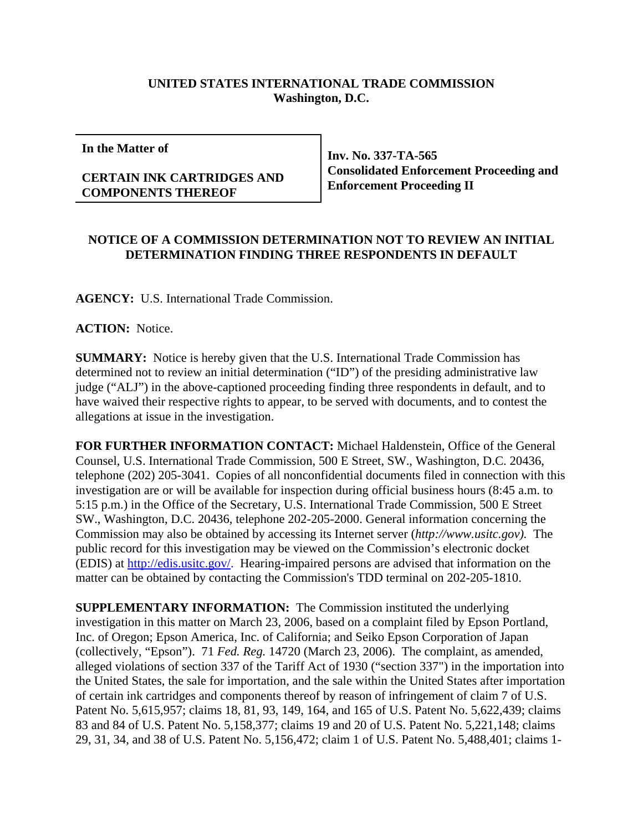## **UNITED STATES INTERNATIONAL TRADE COMMISSION Washington, D.C.**

**In the Matter of**

## **CERTAIN INK CARTRIDGES AND COMPONENTS THEREOF**

**Inv. No. 337-TA-565 Consolidated Enforcement Proceeding and Enforcement Proceeding II**

## **NOTICE OF A COMMISSION DETERMINATION NOT TO REVIEW AN INITIAL DETERMINATION FINDING THREE RESPONDENTS IN DEFAULT**

**AGENCY:** U.S. International Trade Commission.

**ACTION:** Notice.

**SUMMARY:** Notice is hereby given that the U.S. International Trade Commission has determined not to review an initial determination ("ID") of the presiding administrative law judge ("ALJ") in the above-captioned proceeding finding three respondents in default, and to have waived their respective rights to appear, to be served with documents, and to contest the allegations at issue in the investigation.

**FOR FURTHER INFORMATION CONTACT:** Michael Haldenstein, Office of the General Counsel, U.S. International Trade Commission, 500 E Street, SW., Washington, D.C. 20436, telephone (202) 205-3041. Copies of all nonconfidential documents filed in connection with this investigation are or will be available for inspection during official business hours (8:45 a.m. to 5:15 p.m.) in the Office of the Secretary, U.S. International Trade Commission, 500 E Street SW., Washington, D.C. 20436, telephone 202-205-2000. General information concerning the Commission may also be obtained by accessing its Internet server (*http://www.usitc.gov).* The public record for this investigation may be viewed on the Commission's electronic docket (EDIS) at http://edis.usitc.gov/. Hearing-impaired persons are advised that information on the matter can be obtained by contacting the Commission's TDD terminal on 202-205-1810.

**SUPPLEMENTARY INFORMATION:** The Commission instituted the underlying investigation in this matter on March 23, 2006, based on a complaint filed by Epson Portland, Inc. of Oregon; Epson America, Inc. of California; and Seiko Epson Corporation of Japan (collectively, "Epson"). 71 *Fed. Reg.* 14720 (March 23, 2006). The complaint, as amended, alleged violations of section 337 of the Tariff Act of 1930 ("section 337") in the importation into the United States, the sale for importation, and the sale within the United States after importation of certain ink cartridges and components thereof by reason of infringement of claim 7 of U.S. Patent No. 5,615,957; claims 18, 81, 93, 149, 164, and 165 of U.S. Patent No. 5,622,439; claims 83 and 84 of U.S. Patent No. 5,158,377; claims 19 and 20 of U.S. Patent No. 5,221,148; claims 29, 31, 34, and 38 of U.S. Patent No. 5,156,472; claim 1 of U.S. Patent No. 5,488,401; claims 1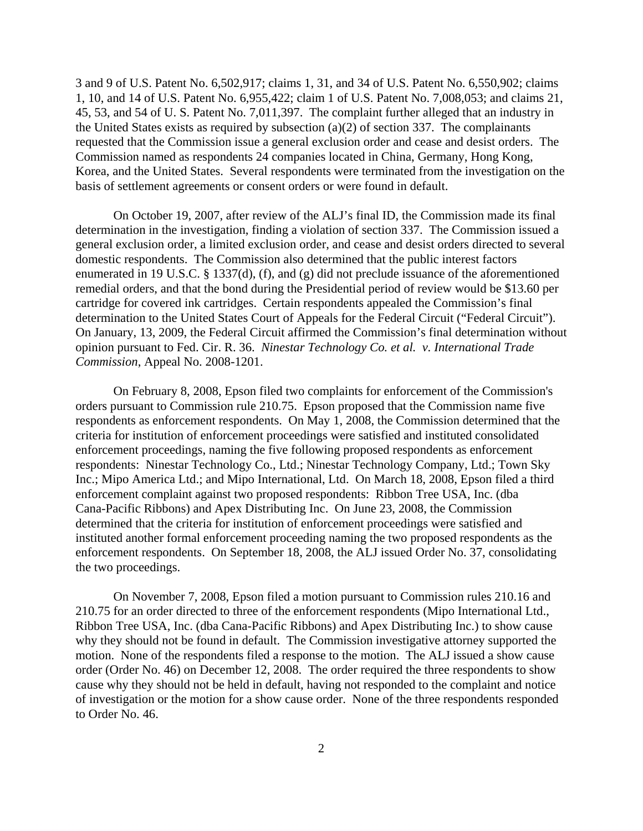3 and 9 of U.S. Patent No. 6,502,917; claims 1, 31, and 34 of U.S. Patent No. 6,550,902; claims 1, 10, and 14 of U.S. Patent No. 6,955,422; claim 1 of U.S. Patent No. 7,008,053; and claims 21, 45, 53, and 54 of U. S. Patent No. 7,011,397. The complaint further alleged that an industry in the United States exists as required by subsection (a)(2) of section 337. The complainants requested that the Commission issue a general exclusion order and cease and desist orders. The Commission named as respondents 24 companies located in China, Germany, Hong Kong, Korea, and the United States. Several respondents were terminated from the investigation on the basis of settlement agreements or consent orders or were found in default.

On October 19, 2007, after review of the ALJ's final ID, the Commission made its final determination in the investigation, finding a violation of section 337. The Commission issued a general exclusion order, a limited exclusion order, and cease and desist orders directed to several domestic respondents. The Commission also determined that the public interest factors enumerated in 19 U.S.C. § 1337(d), (f), and (g) did not preclude issuance of the aforementioned remedial orders, and that the bond during the Presidential period of review would be \$13.60 per cartridge for covered ink cartridges. Certain respondents appealed the Commission's final determination to the United States Court of Appeals for the Federal Circuit ("Federal Circuit"). On January, 13, 2009, the Federal Circuit affirmed the Commission's final determination without opinion pursuant to Fed. Cir. R. 36. *Ninestar Technology Co. et al. v. International Trade Commission*, Appeal No. 2008-1201.

On February 8, 2008, Epson filed two complaints for enforcement of the Commission's orders pursuant to Commission rule 210.75. Epson proposed that the Commission name five respondents as enforcement respondents. On May 1, 2008, the Commission determined that the criteria for institution of enforcement proceedings were satisfied and instituted consolidated enforcement proceedings, naming the five following proposed respondents as enforcement respondents: Ninestar Technology Co., Ltd.; Ninestar Technology Company, Ltd.; Town Sky Inc.; Mipo America Ltd.; and Mipo International, Ltd. On March 18, 2008, Epson filed a third enforcement complaint against two proposed respondents: Ribbon Tree USA, Inc. (dba Cana-Pacific Ribbons) and Apex Distributing Inc. On June 23, 2008, the Commission determined that the criteria for institution of enforcement proceedings were satisfied and instituted another formal enforcement proceeding naming the two proposed respondents as the enforcement respondents. On September 18, 2008, the ALJ issued Order No. 37, consolidating the two proceedings.

On November 7, 2008, Epson filed a motion pursuant to Commission rules 210.16 and 210.75 for an order directed to three of the enforcement respondents (Mipo International Ltd., Ribbon Tree USA, Inc. (dba Cana-Pacific Ribbons) and Apex Distributing Inc.) to show cause why they should not be found in default. The Commission investigative attorney supported the motion. None of the respondents filed a response to the motion. The ALJ issued a show cause order (Order No. 46) on December 12, 2008. The order required the three respondents to show cause why they should not be held in default, having not responded to the complaint and notice of investigation or the motion for a show cause order. None of the three respondents responded to Order No. 46.